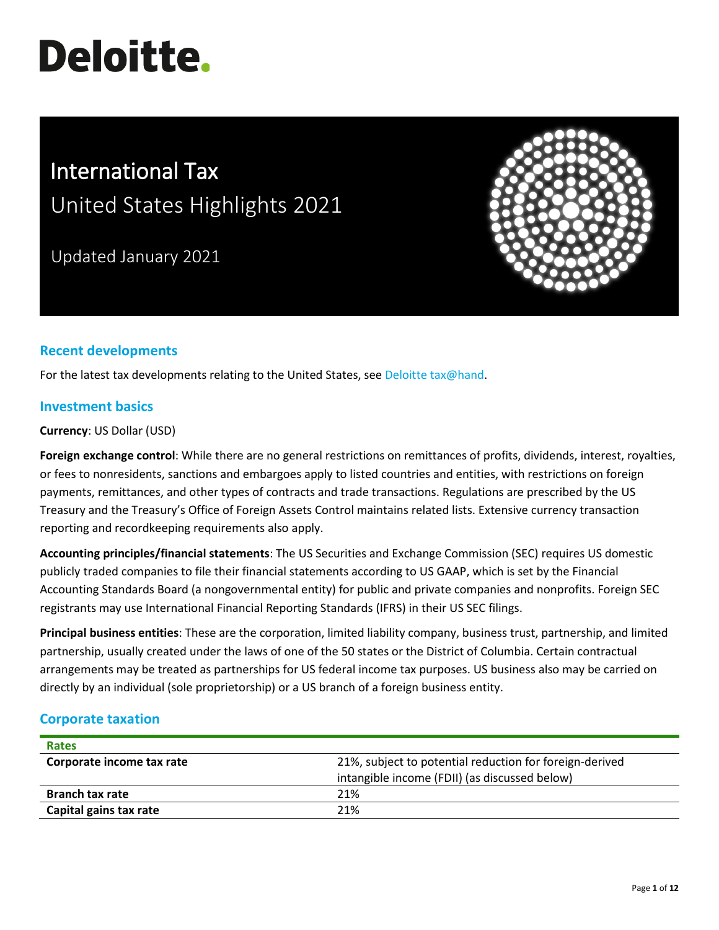# **Deloitte.**

# International Tax United States Highlights 2021

Updated January 2021



# **Recent developments**

For the latest tax developments relating to the United States, see [Deloitte tax@hand.](https://www.taxathand.com/world-news/United-States)

## **Investment basics**

**Currency**: US Dollar (USD)

**Foreign exchange control**: While there are no general restrictions on remittances of profits, dividends, interest, royalties, or fees to nonresidents, sanctions and embargoes apply to listed countries and entities, with restrictions on foreign payments, remittances, and other types of contracts and trade transactions. Regulations are prescribed by the US Treasury and the Treasury's Office of Foreign Assets Control maintains related lists. Extensive currency transaction reporting and recordkeeping requirements also apply.

**Accounting principles/financial statements**: The US Securities and Exchange Commission (SEC) requires US domestic publicly traded companies to file their financial statements according to US GAAP, which is set by the Financial Accounting Standards Board (a nongovernmental entity) for public and private companies and nonprofits. Foreign SEC registrants may use International Financial Reporting Standards (IFRS) in their US SEC filings.

**Principal business entities**: These are the corporation, limited liability company, business trust, partnership, and limited partnership, usually created under the laws of one of the 50 states or the District of Columbia. Certain contractual arrangements may be treated as partnerships for US federal income tax purposes. US business also may be carried on directly by an individual (sole proprietorship) or a US branch of a foreign business entity.

# **Corporate taxation**

| <b>Rates</b>              |                                                         |  |  |
|---------------------------|---------------------------------------------------------|--|--|
| Corporate income tax rate | 21%, subject to potential reduction for foreign-derived |  |  |
|                           | intangible income (FDII) (as discussed below)           |  |  |
| <b>Branch tax rate</b>    | 21%                                                     |  |  |
| Capital gains tax rate    | 21%                                                     |  |  |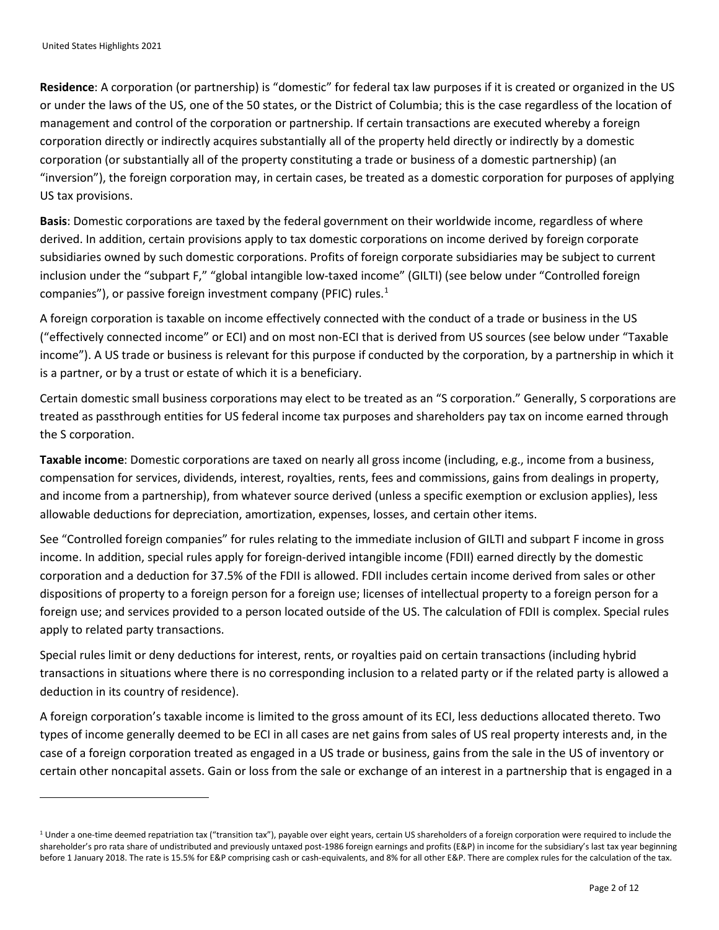**Residence**: A corporation (or partnership) is "domestic" for federal tax law purposes if it is created or organized in the US or under the laws of the US, one of the 50 states, or the District of Columbia; this is the case regardless of the location of management and control of the corporation or partnership. If certain transactions are executed whereby a foreign corporation directly or indirectly acquires substantially all of the property held directly or indirectly by a domestic corporation (or substantially all of the property constituting a trade or business of a domestic partnership) (an "inversion"), the foreign corporation may, in certain cases, be treated as a domestic corporation for purposes of applying US tax provisions.

**Basis**: Domestic corporations are taxed by the federal government on their worldwide income, regardless of where derived. In addition, certain provisions apply to tax domestic corporations on income derived by foreign corporate subsidiaries owned by such domestic corporations. Profits of foreign corporate subsidiaries may be subject to current inclusion under the "subpart F," "global intangible low-taxed income" (GILTI) (see below under "Controlled foreign companies"), or passive foreign investment company (PFIC) rules[.1](#page-1-0)

A foreign corporation is taxable on income effectively connected with the conduct of a trade or business in the US ("effectively connected income" or ECI) and on most non-ECI that is derived from US sources (see below under "Taxable income"). A US trade or business is relevant for this purpose if conducted by the corporation, by a partnership in which it is a partner, or by a trust or estate of which it is a beneficiary.

Certain domestic small business corporations may elect to be treated as an "S corporation." Generally, S corporations are treated as passthrough entities for US federal income tax purposes and shareholders pay tax on income earned through the S corporation.

**Taxable income**: Domestic corporations are taxed on nearly all gross income (including, e.g., income from a business, compensation for services, dividends, interest, royalties, rents, fees and commissions, gains from dealings in property, and income from a partnership), from whatever source derived (unless a specific exemption or exclusion applies), less allowable deductions for depreciation, amortization, expenses, losses, and certain other items.

See "Controlled foreign companies" for rules relating to the immediate inclusion of GILTI and subpart F income in gross income. In addition, special rules apply for foreign-derived intangible income (FDII) earned directly by the domestic corporation and a deduction for 37.5% of the FDII is allowed. FDII includes certain income derived from sales or other dispositions of property to a foreign person for a foreign use; licenses of intellectual property to a foreign person for a foreign use; and services provided to a person located outside of the US. The calculation of FDII is complex. Special rules apply to related party transactions.

Special rules limit or deny deductions for interest, rents, or royalties paid on certain transactions (including hybrid transactions in situations where there is no corresponding inclusion to a related party or if the related party is allowed a deduction in its country of residence).

A foreign corporation's taxable income is limited to the gross amount of its ECI, less deductions allocated thereto. Two types of income generally deemed to be ECI in all cases are net gains from sales of US real property interests and, in the case of a foreign corporation treated as engaged in a US trade or business, gains from the sale in the US of inventory or certain other noncapital assets. Gain or loss from the sale or exchange of an interest in a partnership that is engaged in a

<span id="page-1-0"></span><sup>&</sup>lt;sup>1</sup> Under a one-time deemed repatriation tax ("transition tax"), payable over eight years, certain US shareholders of a foreign corporation were required to include the shareholder's pro rata share of undistributed and previously untaxed post-1986 foreign earnings and profits (E&P) in income for the subsidiary's last tax year beginning before 1 January 2018. The rate is 15.5% for E&P comprising cash or cash-equivalents, and 8% for all other E&P. There are complex rules for the calculation of the tax.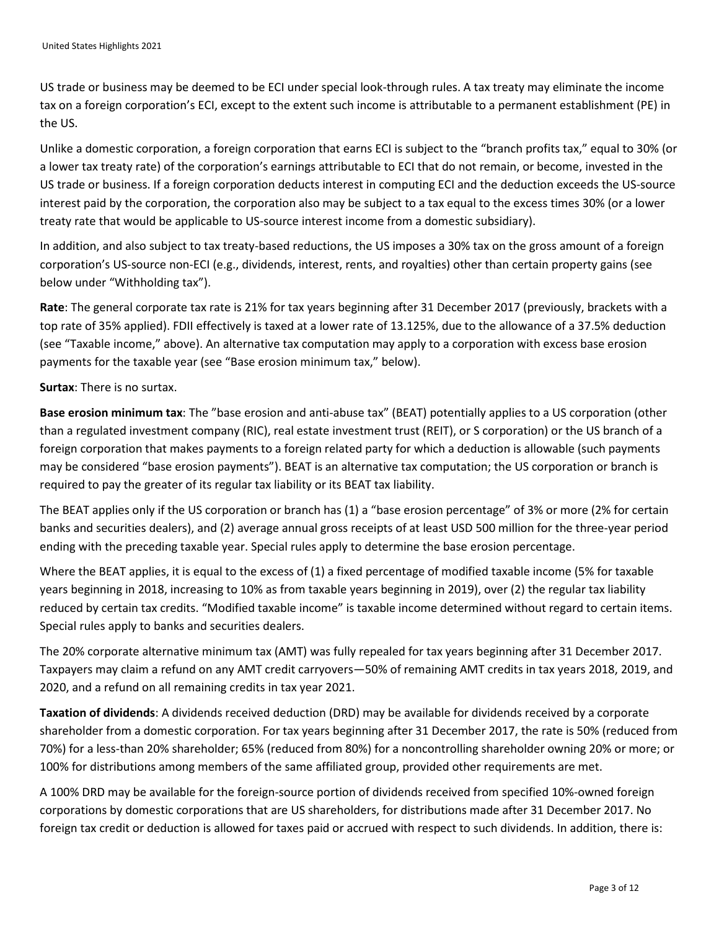US trade or business may be deemed to be ECI under special look-through rules. A tax treaty may eliminate the income tax on a foreign corporation's ECI, except to the extent such income is attributable to a permanent establishment (PE) in the US.

Unlike a domestic corporation, a foreign corporation that earns ECI is subject to the "branch profits tax," equal to 30% (or a lower tax treaty rate) of the corporation's earnings attributable to ECI that do not remain, or become, invested in the US trade or business. If a foreign corporation deducts interest in computing ECI and the deduction exceeds the US-source interest paid by the corporation, the corporation also may be subject to a tax equal to the excess times 30% (or a lower treaty rate that would be applicable to US-source interest income from a domestic subsidiary).

In addition, and also subject to tax treaty-based reductions, the US imposes a 30% tax on the gross amount of a foreign corporation's US-source non-ECI (e.g., dividends, interest, rents, and royalties) other than certain property gains (see below under "Withholding tax").

**Rate**: The general corporate tax rate is 21% for tax years beginning after 31 December 2017 (previously, brackets with a top rate of 35% applied). FDII effectively is taxed at a lower rate of 13.125%, due to the allowance of a 37.5% deduction (see "Taxable income," above). An alternative tax computation may apply to a corporation with excess base erosion payments for the taxable year (see "Base erosion minimum tax," below).

**Surtax**: There is no surtax.

**Base erosion minimum tax**: The "base erosion and anti-abuse tax" (BEAT) potentially applies to a US corporation (other than a regulated investment company (RIC), real estate investment trust (REIT), or S corporation) or the US branch of a foreign corporation that makes payments to a foreign related party for which a deduction is allowable (such payments may be considered "base erosion payments"). BEAT is an alternative tax computation; the US corporation or branch is required to pay the greater of its regular tax liability or its BEAT tax liability.

The BEAT applies only if the US corporation or branch has (1) a "base erosion percentage" of 3% or more (2% for certain banks and securities dealers), and (2) average annual gross receipts of at least USD 500 million for the three-year period ending with the preceding taxable year. Special rules apply to determine the base erosion percentage.

Where the BEAT applies, it is equal to the excess of (1) a fixed percentage of modified taxable income (5% for taxable years beginning in 2018, increasing to 10% as from taxable years beginning in 2019), over (2) the regular tax liability reduced by certain tax credits. "Modified taxable income" is taxable income determined without regard to certain items. Special rules apply to banks and securities dealers.

The 20% corporate alternative minimum tax (AMT) was fully repealed for tax years beginning after 31 December 2017. Taxpayers may claim a refund on any AMT credit carryovers—50% of remaining AMT credits in tax years 2018, 2019, and 2020, and a refund on all remaining credits in tax year 2021.

**Taxation of dividends**: A dividends received deduction (DRD) may be available for dividends received by a corporate shareholder from a domestic corporation. For tax years beginning after 31 December 2017, the rate is 50% (reduced from 70%) for a less-than 20% shareholder; 65% (reduced from 80%) for a noncontrolling shareholder owning 20% or more; or 100% for distributions among members of the same affiliated group, provided other requirements are met.

A 100% DRD may be available for the foreign-source portion of dividends received from specified 10%-owned foreign corporations by domestic corporations that are US shareholders, for distributions made after 31 December 2017. No foreign tax credit or deduction is allowed for taxes paid or accrued with respect to such dividends. In addition, there is: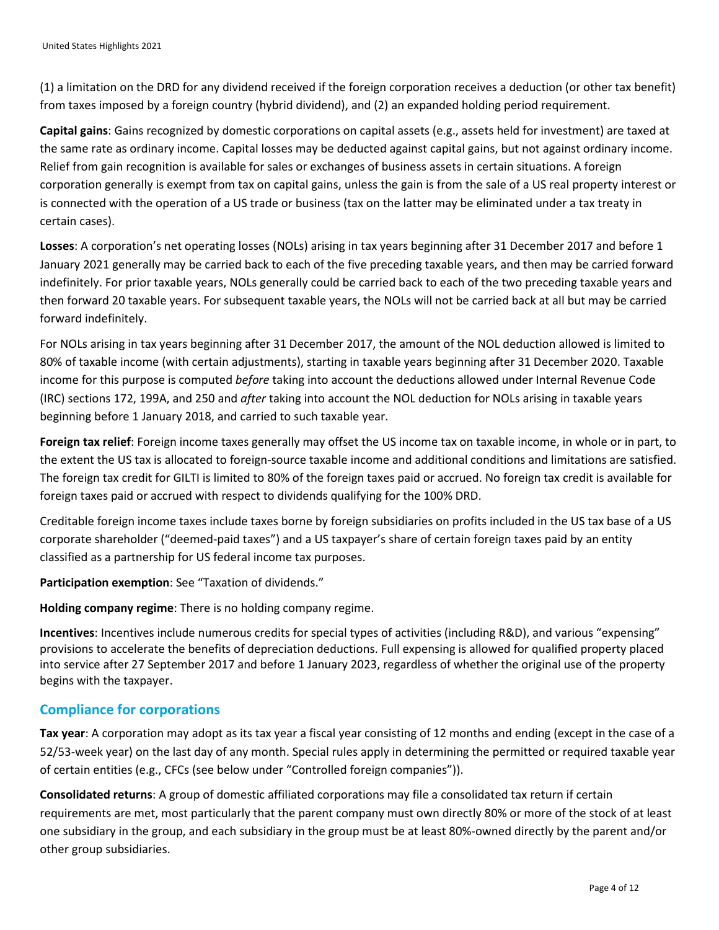(1) a limitation on the DRD for any dividend received if the foreign corporation receives a deduction (or other tax benefit) from taxes imposed by a foreign country (hybrid dividend), and (2) an expanded holding period requirement.

**Capital gains**: Gains recognized by domestic corporations on capital assets (e.g., assets held for investment) are taxed at the same rate as ordinary income. Capital losses may be deducted against capital gains, but not against ordinary income. Relief from gain recognition is available for sales or exchanges of business assets in certain situations. A foreign corporation generally is exempt from tax on capital gains, unless the gain is from the sale of a US real property interest or is connected with the operation of a US trade or business (tax on the latter may be eliminated under a tax treaty in certain cases).

**Losses**: A corporation's net operating losses (NOLs) arising in tax years beginning after 31 December 2017 and before 1 January 2021 generally may be carried back to each of the five preceding taxable years, and then may be carried forward indefinitely. For prior taxable years, NOLs generally could be carried back to each of the two preceding taxable years and then forward 20 taxable years. For subsequent taxable years, the NOLs will not be carried back at all but may be carried forward indefinitely.

For NOLs arising in tax years beginning after 31 December 2017, the amount of the NOL deduction allowed is limited to 80% of taxable income (with certain adjustments), starting in taxable years beginning after 31 December 2020. Taxable income for this purpose is computed *before* taking into account the deductions allowed under Internal Revenue Code (IRC) sections 172, 199A, and 250 and *after* taking into account the NOL deduction for NOLs arising in taxable years beginning before 1 January 2018, and carried to such taxable year.

**Foreign tax relief**: Foreign income taxes generally may offset the US income tax on taxable income, in whole or in part, to the extent the US tax is allocated to foreign-source taxable income and additional conditions and limitations are satisfied. The foreign tax credit for GILTI is limited to 80% of the foreign taxes paid or accrued. No foreign tax credit is available for foreign taxes paid or accrued with respect to dividends qualifying for the 100% DRD.

Creditable foreign income taxes include taxes borne by foreign subsidiaries on profits included in the US tax base of a US corporate shareholder ("deemed-paid taxes") and a US taxpayer's share of certain foreign taxes paid by an entity classified as a partnership for US federal income tax purposes.

**Participation exemption**: See "Taxation of dividends."

**Holding company regime**: There is no holding company regime.

**Incentives**: Incentives include numerous credits for special types of activities (including R&D), and various "expensing" provisions to accelerate the benefits of depreciation deductions. Full expensing is allowed for qualified property placed into service after 27 September 2017 and before 1 January 2023, regardless of whether the original use of the property begins with the taxpayer.

#### **Compliance for corporations**

**Tax year**: A corporation may adopt as its tax year a fiscal year consisting of 12 months and ending (except in the case of a 52/53-week year) on the last day of any month. Special rules apply in determining the permitted or required taxable year of certain entities (e.g., CFCs (see below under "Controlled foreign companies")).

**Consolidated returns**: A group of domestic affiliated corporations may file a consolidated tax return if certain requirements are met, most particularly that the parent company must own directly 80% or more of the stock of at least one subsidiary in the group, and each subsidiary in the group must be at least 80%-owned directly by the parent and/or other group subsidiaries.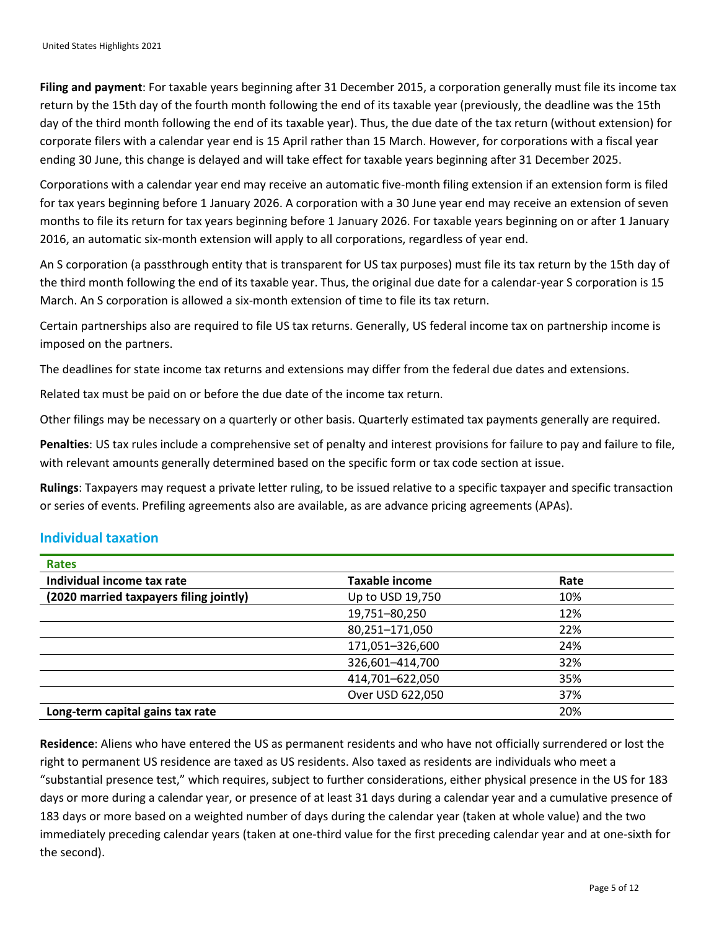**Filing and payment**: For taxable years beginning after 31 December 2015, a corporation generally must file its income tax return by the 15th day of the fourth month following the end of its taxable year (previously, the deadline was the 15th day of the third month following the end of its taxable year). Thus, the due date of the tax return (without extension) for corporate filers with a calendar year end is 15 April rather than 15 March. However, for corporations with a fiscal year ending 30 June, this change is delayed and will take effect for taxable years beginning after 31 December 2025.

Corporations with a calendar year end may receive an automatic five-month filing extension if an extension form is filed for tax years beginning before 1 January 2026. A corporation with a 30 June year end may receive an extension of seven months to file its return for tax years beginning before 1 January 2026. For taxable years beginning on or after 1 January 2016, an automatic six-month extension will apply to all corporations, regardless of year end.

An S corporation (a passthrough entity that is transparent for US tax purposes) must file its tax return by the 15th day of the third month following the end of its taxable year. Thus, the original due date for a calendar-year S corporation is 15 March. An S corporation is allowed a six-month extension of time to file its tax return.

Certain partnerships also are required to file US tax returns. Generally, US federal income tax on partnership income is imposed on the partners.

The deadlines for state income tax returns and extensions may differ from the federal due dates and extensions.

Related tax must be paid on or before the due date of the income tax return.

Other filings may be necessary on a quarterly or other basis. Quarterly estimated tax payments generally are required.

**Penalties**: US tax rules include a comprehensive set of penalty and interest provisions for failure to pay and failure to file, with relevant amounts generally determined based on the specific form or tax code section at issue.

**Rulings**: Taxpayers may request a private letter ruling, to be issued relative to a specific taxpayer and specific transaction or series of events. Prefiling agreements also are available, as are advance pricing agreements (APAs).

## **Individual taxation**

| <b>Rates</b>                            |                       |      |
|-----------------------------------------|-----------------------|------|
| Individual income tax rate              | <b>Taxable income</b> | Rate |
| (2020 married taxpayers filing jointly) | Up to USD 19,750      | 10%  |
|                                         | 19,751-80,250         | 12%  |
|                                         | 80,251-171,050        | 22%  |
|                                         | 171,051-326,600       | 24%  |
|                                         | 326,601-414,700       | 32%  |
|                                         | 414,701-622,050       | 35%  |
|                                         | Over USD 622,050      | 37%  |
| Long-term capital gains tax rate        |                       | 20%  |

**Residence**: Aliens who have entered the US as permanent residents and who have not officially surrendered or lost the right to permanent US residence are taxed as US residents. Also taxed as residents are individuals who meet a "substantial presence test," which requires, subject to further considerations, either physical presence in the US for 183 days or more during a calendar year, or presence of at least 31 days during a calendar year and a cumulative presence of 183 days or more based on a weighted number of days during the calendar year (taken at whole value) and the two immediately preceding calendar years (taken at one-third value for the first preceding calendar year and at one-sixth for the second).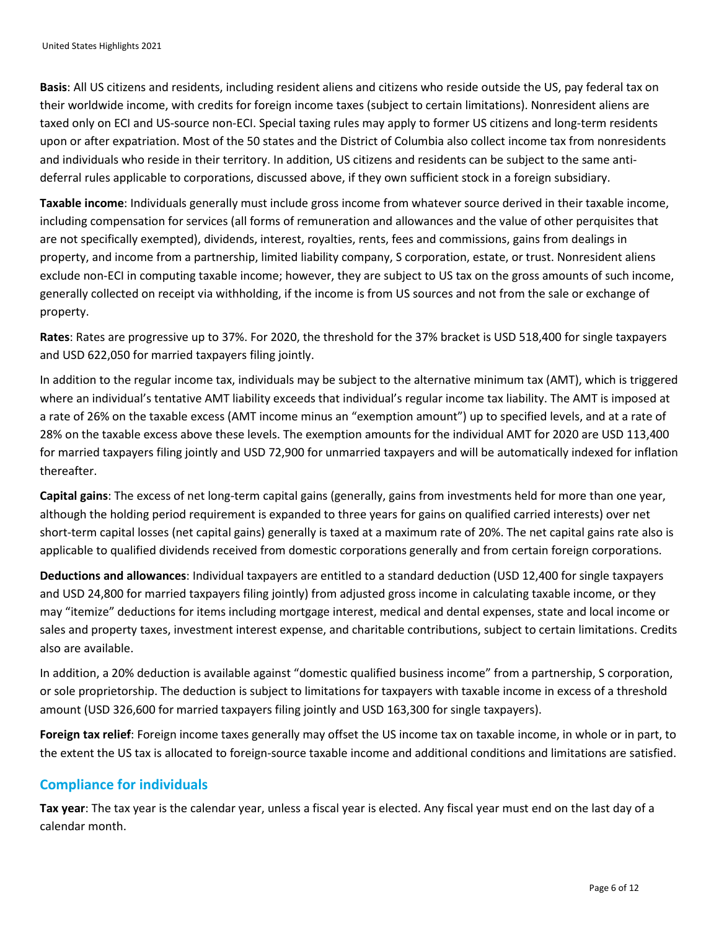**Basis**: All US citizens and residents, including resident aliens and citizens who reside outside the US, pay federal tax on their worldwide income, with credits for foreign income taxes (subject to certain limitations). Nonresident aliens are taxed only on ECI and US-source non-ECI. Special taxing rules may apply to former US citizens and long-term residents upon or after expatriation. Most of the 50 states and the District of Columbia also collect income tax from nonresidents and individuals who reside in their territory. In addition, US citizens and residents can be subject to the same antideferral rules applicable to corporations, discussed above, if they own sufficient stock in a foreign subsidiary.

**Taxable income**: Individuals generally must include gross income from whatever source derived in their taxable income, including compensation for services (all forms of remuneration and allowances and the value of other perquisites that are not specifically exempted), dividends, interest, royalties, rents, fees and commissions, gains from dealings in property, and income from a partnership, limited liability company, S corporation, estate, or trust. Nonresident aliens exclude non-ECI in computing taxable income; however, they are subject to US tax on the gross amounts of such income, generally collected on receipt via withholding, if the income is from US sources and not from the sale or exchange of property.

**Rates**: Rates are progressive up to 37%. For 2020, the threshold for the 37% bracket is USD 518,400 for single taxpayers and USD 622,050 for married taxpayers filing jointly.

In addition to the regular income tax, individuals may be subject to the alternative minimum tax (AMT), which is triggered where an individual's tentative AMT liability exceeds that individual's regular income tax liability. The AMT is imposed at a rate of 26% on the taxable excess (AMT income minus an "exemption amount") up to specified levels, and at a rate of 28% on the taxable excess above these levels. The exemption amounts for the individual AMT for 2020 are USD 113,400 for married taxpayers filing jointly and USD 72,900 for unmarried taxpayers and will be automatically indexed for inflation thereafter.

**Capital gains**: The excess of net long-term capital gains (generally, gains from investments held for more than one year, although the holding period requirement is expanded to three years for gains on qualified carried interests) over net short-term capital losses (net capital gains) generally is taxed at a maximum rate of 20%. The net capital gains rate also is applicable to qualified dividends received from domestic corporations generally and from certain foreign corporations.

**Deductions and allowances**: Individual taxpayers are entitled to a standard deduction (USD 12,400 for single taxpayers and USD 24,800 for married taxpayers filing jointly) from adjusted gross income in calculating taxable income, or they may "itemize" deductions for items including mortgage interest, medical and dental expenses, state and local income or sales and property taxes, investment interest expense, and charitable contributions, subject to certain limitations. Credits also are available.

In addition, a 20% deduction is available against "domestic qualified business income" from a partnership, S corporation, or sole proprietorship. The deduction is subject to limitations for taxpayers with taxable income in excess of a threshold amount (USD 326,600 for married taxpayers filing jointly and USD 163,300 for single taxpayers).

**Foreign tax relief**: Foreign income taxes generally may offset the US income tax on taxable income, in whole or in part, to the extent the US tax is allocated to foreign-source taxable income and additional conditions and limitations are satisfied.

## **Compliance for individuals**

**Tax year**: The tax year is the calendar year, unless a fiscal year is elected. Any fiscal year must end on the last day of a calendar month.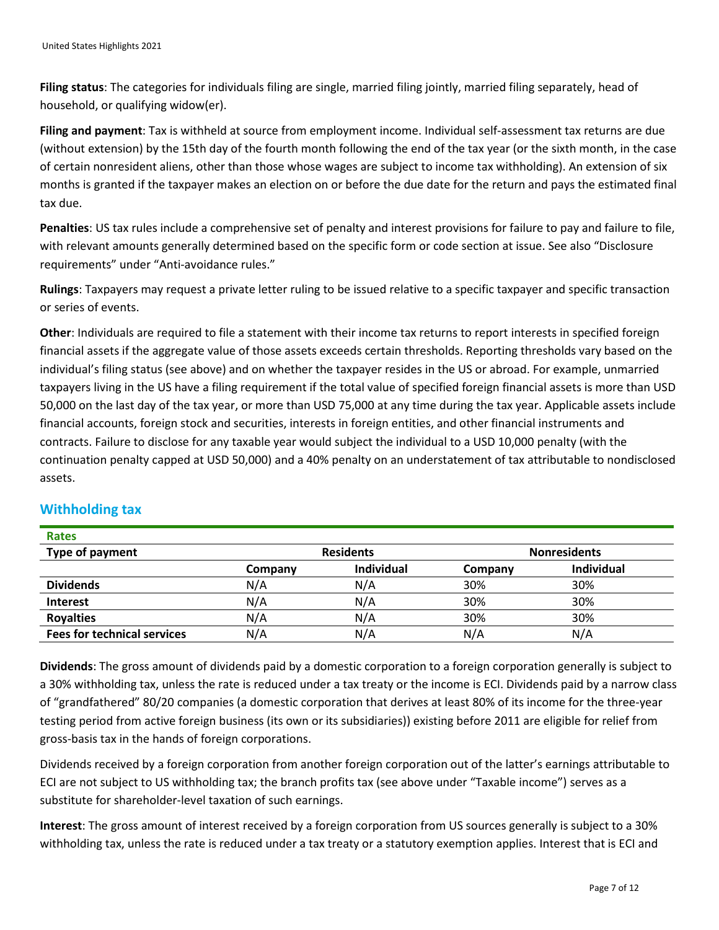**Filing status**: The categories for individuals filing are single, married filing jointly, married filing separately, head of household, or qualifying widow(er).

**Filing and payment**: Tax is withheld at source from employment income. Individual self-assessment tax returns are due (without extension) by the 15th day of the fourth month following the end of the tax year (or the sixth month, in the case of certain nonresident aliens, other than those whose wages are subject to income tax withholding). An extension of six months is granted if the taxpayer makes an election on or before the due date for the return and pays the estimated final tax due.

**Penalties**: US tax rules include a comprehensive set of penalty and interest provisions for failure to pay and failure to file, with relevant amounts generally determined based on the specific form or code section at issue. See also "Disclosure requirements" under "Anti-avoidance rules."

**Rulings**: Taxpayers may request a private letter ruling to be issued relative to a specific taxpayer and specific transaction or series of events.

**Other**: Individuals are required to file a statement with their income tax returns to report interests in specified foreign financial assets if the aggregate value of those assets exceeds certain thresholds. Reporting thresholds vary based on the individual's filing status (see above) and on whether the taxpayer resides in the US or abroad. For example, unmarried taxpayers living in the US have a filing requirement if the total value of specified foreign financial assets is more than USD 50,000 on the last day of the tax year, or more than USD 75,000 at any time during the tax year. Applicable assets include financial accounts, foreign stock and securities, interests in foreign entities, and other financial instruments and contracts. Failure to disclose for any taxable year would subject the individual to a USD 10,000 penalty (with the continuation penalty capped at USD 50,000) and a 40% penalty on an understatement of tax attributable to nondisclosed assets.

| <b>Rales</b>                       |                  |                   |                     |            |
|------------------------------------|------------------|-------------------|---------------------|------------|
| Type of payment                    | <b>Residents</b> |                   | <b>Nonresidents</b> |            |
|                                    | Company          | <b>Individual</b> | Company             | Individual |
| <b>Dividends</b>                   | N/A              | N/A               | 30%                 | 30%        |
| <b>Interest</b>                    | N/A              | N/A               | 30%                 | 30%        |
| <b>Royalties</b>                   | N/A              | N/A               | 30%                 | 30%        |
| <b>Fees for technical services</b> | N/A              | N/A               | N/A                 | N/A        |

## **Withholding tax**

**Rates**

**Dividends**: The gross amount of dividends paid by a domestic corporation to a foreign corporation generally is subject to a 30% withholding tax, unless the rate is reduced under a tax treaty or the income is ECI. Dividends paid by a narrow class of "grandfathered" 80/20 companies (a domestic corporation that derives at least 80% of its income for the three-year testing period from active foreign business (its own or its subsidiaries)) existing before 2011 are eligible for relief from gross-basis tax in the hands of foreign corporations.

Dividends received by a foreign corporation from another foreign corporation out of the latter's earnings attributable to ECI are not subject to US withholding tax; the branch profits tax (see above under "Taxable income") serves as a substitute for shareholder-level taxation of such earnings.

**Interest**: The gross amount of interest received by a foreign corporation from US sources generally is subject to a 30% withholding tax, unless the rate is reduced under a tax treaty or a statutory exemption applies. Interest that is ECI and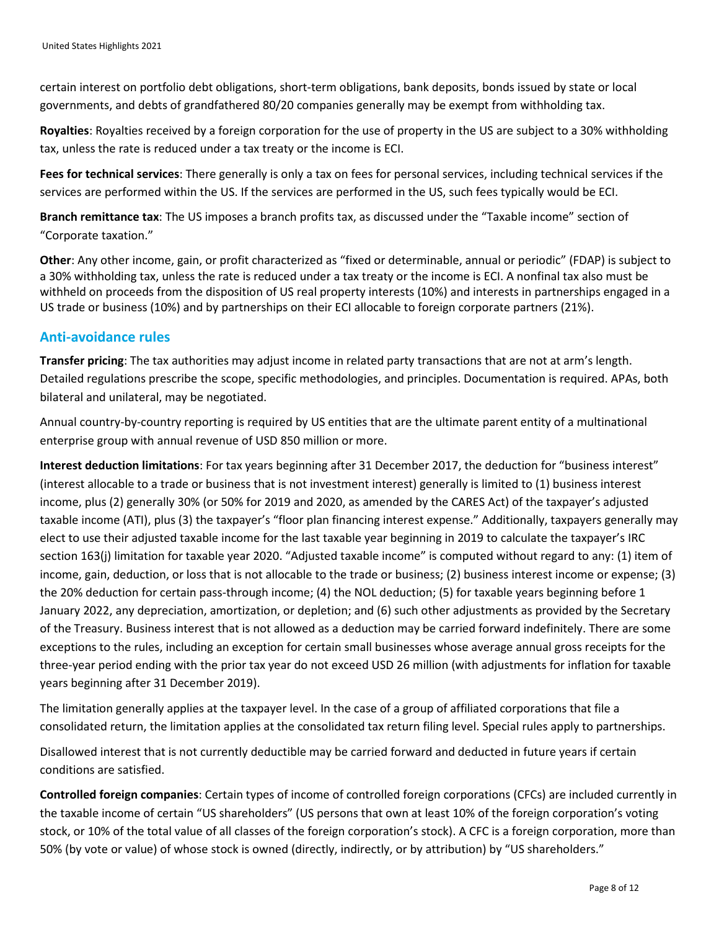certain interest on portfolio debt obligations, short-term obligations, bank deposits, bonds issued by state or local governments, and debts of grandfathered 80/20 companies generally may be exempt from withholding tax.

**Royalties**: Royalties received by a foreign corporation for the use of property in the US are subject to a 30% withholding tax, unless the rate is reduced under a tax treaty or the income is ECI.

**Fees for technical services**: There generally is only a tax on fees for personal services, including technical services if the services are performed within the US. If the services are performed in the US, such fees typically would be ECI.

**Branch remittance tax**: The US imposes a branch profits tax, as discussed under the "Taxable income" section of "Corporate taxation."

**Other**: Any other income, gain, or profit characterized as "fixed or determinable, annual or periodic" (FDAP) is subject to a 30% withholding tax, unless the rate is reduced under a tax treaty or the income is ECI. A nonfinal tax also must be withheld on proceeds from the disposition of US real property interests (10%) and interests in partnerships engaged in a US trade or business (10%) and by partnerships on their ECI allocable to foreign corporate partners (21%).

#### **Anti-avoidance rules**

**Transfer pricing**: The tax authorities may adjust income in related party transactions that are not at arm's length. Detailed regulations prescribe the scope, specific methodologies, and principles. Documentation is required. APAs, both bilateral and unilateral, may be negotiated.

Annual country-by-country reporting is required by US entities that are the ultimate parent entity of a multinational enterprise group with annual revenue of USD 850 million or more.

**Interest deduction limitations**: For tax years beginning after 31 December 2017, the deduction for "business interest" (interest allocable to a trade or business that is not investment interest) generally is limited to (1) business interest income, plus (2) generally 30% (or 50% for 2019 and 2020, as amended by the CARES Act) of the taxpayer's adjusted taxable income (ATI), plus (3) the taxpayer's "floor plan financing interest expense." Additionally, taxpayers generally may elect to use their adjusted taxable income for the last taxable year beginning in 2019 to calculate the taxpayer's IRC section 163(j) limitation for taxable year 2020. "Adjusted taxable income" is computed without regard to any: (1) item of income, gain, deduction, or loss that is not allocable to the trade or business; (2) business interest income or expense; (3) the 20% deduction for certain pass-through income; (4) the NOL deduction; (5) for taxable years beginning before 1 January 2022, any depreciation, amortization, or depletion; and (6) such other adjustments as provided by the Secretary of the Treasury. Business interest that is not allowed as a deduction may be carried forward indefinitely. There are some exceptions to the rules, including an exception for certain small businesses whose average annual gross receipts for the three-year period ending with the prior tax year do not exceed USD 26 million (with adjustments for inflation for taxable years beginning after 31 December 2019).

The limitation generally applies at the taxpayer level. In the case of a group of affiliated corporations that file a consolidated return, the limitation applies at the consolidated tax return filing level. Special rules apply to partnerships.

Disallowed interest that is not currently deductible may be carried forward and deducted in future years if certain conditions are satisfied.

**Controlled foreign companies**: Certain types of income of controlled foreign corporations (CFCs) are included currently in the taxable income of certain "US shareholders" (US persons that own at least 10% of the foreign corporation's voting stock, or 10% of the total value of all classes of the foreign corporation's stock). A CFC is a foreign corporation, more than 50% (by vote or value) of whose stock is owned (directly, indirectly, or by attribution) by "US shareholders."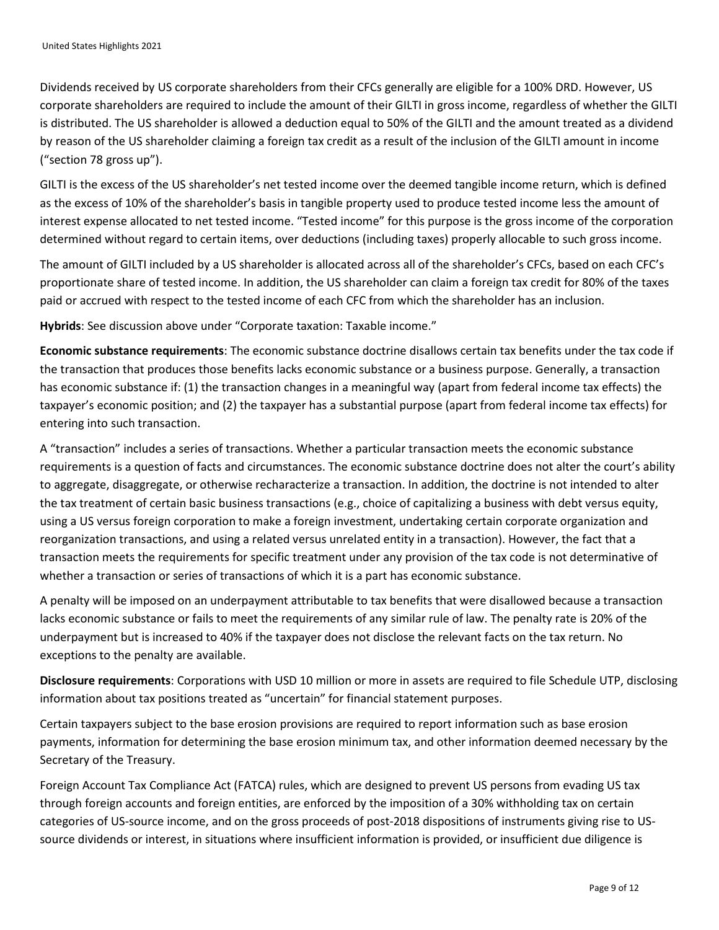Dividends received by US corporate shareholders from their CFCs generally are eligible for a 100% DRD. However, US corporate shareholders are required to include the amount of their GILTI in gross income, regardless of whether the GILTI is distributed. The US shareholder is allowed a deduction equal to 50% of the GILTI and the amount treated as a dividend by reason of the US shareholder claiming a foreign tax credit as a result of the inclusion of the GILTI amount in income ("section 78 gross up").

GILTI is the excess of the US shareholder's net tested income over the deemed tangible income return, which is defined as the excess of 10% of the shareholder's basis in tangible property used to produce tested income less the amount of interest expense allocated to net tested income. "Tested income" for this purpose is the gross income of the corporation determined without regard to certain items, over deductions (including taxes) properly allocable to such gross income.

The amount of GILTI included by a US shareholder is allocated across all of the shareholder's CFCs, based on each CFC's proportionate share of tested income. In addition, the US shareholder can claim a foreign tax credit for 80% of the taxes paid or accrued with respect to the tested income of each CFC from which the shareholder has an inclusion.

**Hybrids**: See discussion above under "Corporate taxation: Taxable income."

**Economic substance requirements**: The economic substance doctrine disallows certain tax benefits under the tax code if the transaction that produces those benefits lacks economic substance or a business purpose. Generally, a transaction has economic substance if: (1) the transaction changes in a meaningful way (apart from federal income tax effects) the taxpayer's economic position; and (2) the taxpayer has a substantial purpose (apart from federal income tax effects) for entering into such transaction.

A "transaction" includes a series of transactions. Whether a particular transaction meets the economic substance requirements is a question of facts and circumstances. The economic substance doctrine does not alter the court's ability to aggregate, disaggregate, or otherwise recharacterize a transaction. In addition, the doctrine is not intended to alter the tax treatment of certain basic business transactions (e.g., choice of capitalizing a business with debt versus equity, using a US versus foreign corporation to make a foreign investment, undertaking certain corporate organization and reorganization transactions, and using a related versus unrelated entity in a transaction). However, the fact that a transaction meets the requirements for specific treatment under any provision of the tax code is not determinative of whether a transaction or series of transactions of which it is a part has economic substance.

A penalty will be imposed on an underpayment attributable to tax benefits that were disallowed because a transaction lacks economic substance or fails to meet the requirements of any similar rule of law. The penalty rate is 20% of the underpayment but is increased to 40% if the taxpayer does not disclose the relevant facts on the tax return. No exceptions to the penalty are available.

**Disclosure requirements**: Corporations with USD 10 million or more in assets are required to file Schedule UTP, disclosing information about tax positions treated as "uncertain" for financial statement purposes.

Certain taxpayers subject to the base erosion provisions are required to report information such as base erosion payments, information for determining the base erosion minimum tax, and other information deemed necessary by the Secretary of the Treasury.

Foreign Account Tax Compliance Act (FATCA) rules, which are designed to prevent US persons from evading US tax through foreign accounts and foreign entities, are enforced by the imposition of a 30% withholding tax on certain categories of US-source income, and on the gross proceeds of post-2018 dispositions of instruments giving rise to USsource dividends or interest, in situations where insufficient information is provided, or insufficient due diligence is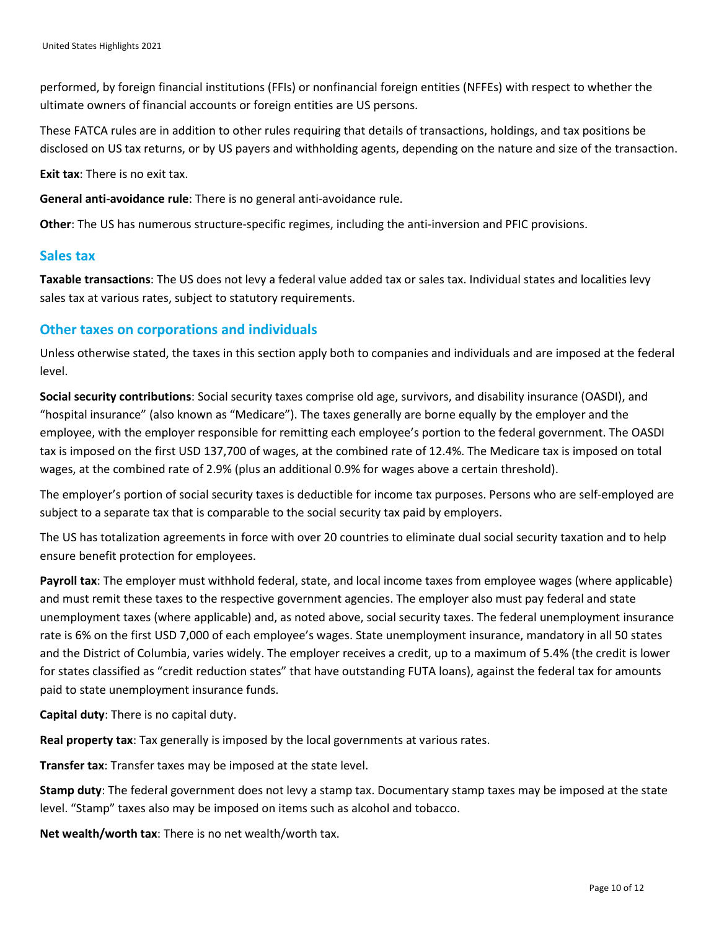performed, by foreign financial institutions (FFIs) or nonfinancial foreign entities (NFFEs) with respect to whether the ultimate owners of financial accounts or foreign entities are US persons.

These FATCA rules are in addition to other rules requiring that details of transactions, holdings, and tax positions be disclosed on US tax returns, or by US payers and withholding agents, depending on the nature and size of the transaction.

**Exit tax**: There is no exit tax.

**General anti-avoidance rule**: There is no general anti-avoidance rule.

**Other**: The US has numerous structure-specific regimes, including the anti-inversion and PFIC provisions.

#### **Sales tax**

**Taxable transactions**: The US does not levy a federal value added tax or sales tax. Individual states and localities levy sales tax at various rates, subject to statutory requirements.

#### **Other taxes on corporations and individuals**

Unless otherwise stated, the taxes in this section apply both to companies and individuals and are imposed at the federal level.

**Social security contributions**: Social security taxes comprise old age, survivors, and disability insurance (OASDI), and "hospital insurance" (also known as "Medicare"). The taxes generally are borne equally by the employer and the employee, with the employer responsible for remitting each employee's portion to the federal government. The OASDI tax is imposed on the first USD 137,700 of wages, at the combined rate of 12.4%. The Medicare tax is imposed on total wages, at the combined rate of 2.9% (plus an additional 0.9% for wages above a certain threshold).

The employer's portion of social security taxes is deductible for income tax purposes. Persons who are self-employed are subject to a separate tax that is comparable to the social security tax paid by employers.

The US has totalization agreements in force with over 20 countries to eliminate dual social security taxation and to help ensure benefit protection for employees.

**Payroll tax**: The employer must withhold federal, state, and local income taxes from employee wages (where applicable) and must remit these taxes to the respective government agencies. The employer also must pay federal and state unemployment taxes (where applicable) and, as noted above, social security taxes. The federal unemployment insurance rate is 6% on the first USD 7,000 of each employee's wages. State unemployment insurance, mandatory in all 50 states and the District of Columbia, varies widely. The employer receives a credit, up to a maximum of 5.4% (the credit is lower for states classified as "credit reduction states" that have outstanding FUTA loans), against the federal tax for amounts paid to state unemployment insurance funds.

**Capital duty**: There is no capital duty.

**Real property tax**: Tax generally is imposed by the local governments at various rates.

**Transfer tax**: Transfer taxes may be imposed at the state level.

**Stamp duty**: The federal government does not levy a stamp tax. Documentary stamp taxes may be imposed at the state level. "Stamp" taxes also may be imposed on items such as alcohol and tobacco.

**Net wealth/worth tax**: There is no net wealth/worth tax.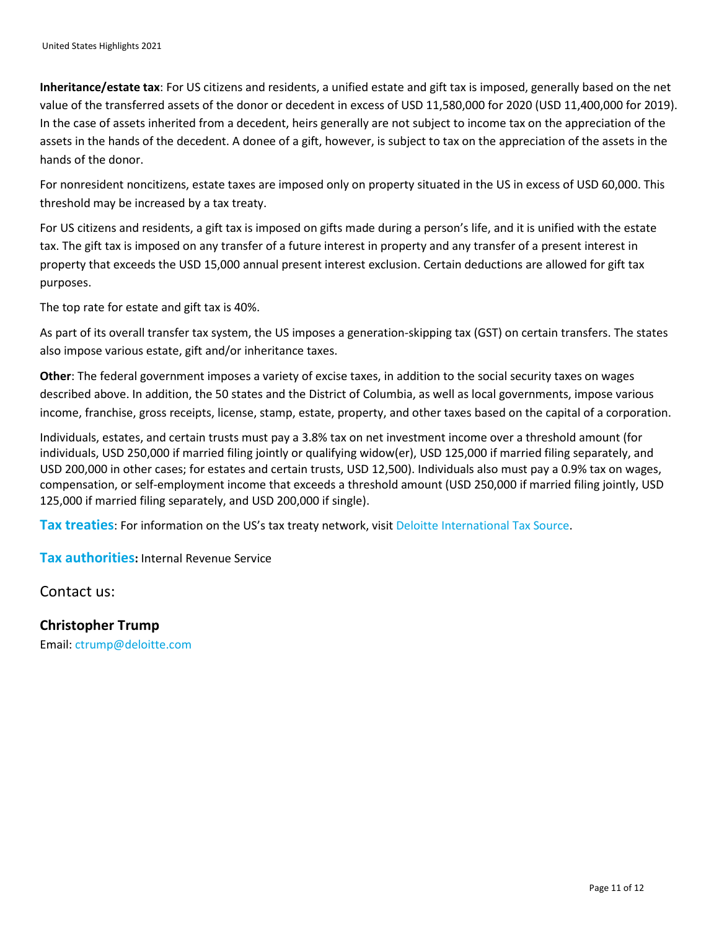**Inheritance/estate tax**: For US citizens and residents, a unified estate and gift tax is imposed, generally based on the net value of the transferred assets of the donor or decedent in excess of USD 11,580,000 for 2020 (USD 11,400,000 for 2019). In the case of assets inherited from a decedent, heirs generally are not subject to income tax on the appreciation of the assets in the hands of the decedent. A donee of a gift, however, is subject to tax on the appreciation of the assets in the hands of the donor.

For nonresident noncitizens, estate taxes are imposed only on property situated in the US in excess of USD 60,000. This threshold may be increased by a tax treaty.

For US citizens and residents, a gift tax is imposed on gifts made during a person's life, and it is unified with the estate tax. The gift tax is imposed on any transfer of a future interest in property and any transfer of a present interest in property that exceeds the USD 15,000 annual present interest exclusion. Certain deductions are allowed for gift tax purposes.

The top rate for estate and gift tax is 40%.

As part of its overall transfer tax system, the US imposes a generation-skipping tax (GST) on certain transfers. The states also impose various estate, gift and/or inheritance taxes.

**Other**: The federal government imposes a variety of excise taxes, in addition to the social security taxes on wages described above. In addition, the 50 states and the District of Columbia, as well as local governments, impose various income, franchise, gross receipts, license, stamp, estate, property, and other taxes based on the capital of a corporation.

Individuals, estates, and certain trusts must pay a 3.8% tax on net investment income over a threshold amount (for individuals, USD 250,000 if married filing jointly or qualifying widow(er), USD 125,000 if married filing separately, and USD 200,000 in other cases; for estates and certain trusts, USD 12,500). Individuals also must pay a 0.9% tax on wages, compensation, or self-employment income that exceeds a threshold amount (USD 250,000 if married filing jointly, USD 125,000 if married filing separately, and USD 200,000 if single).

**Tax treaties**: For information on the US's tax treaty network, visit [Deloitte International Tax Source.](https://www.dits.deloitte.com/#Jurisdiction/98)

**Tax authorities:** Internal Revenue Service

Contact us:

**Christopher Trump** Email: [ctrump@deloitte.com](mailto:ctrump@deloitte.com)